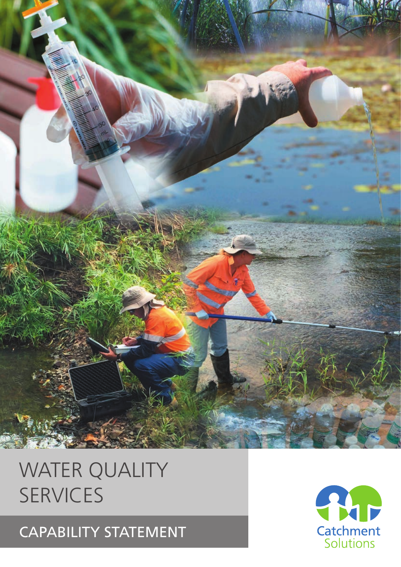## CAPABILITY STATEMENT

# **Catchment**<br>Solutions

# WATER QUALITY SERVICES

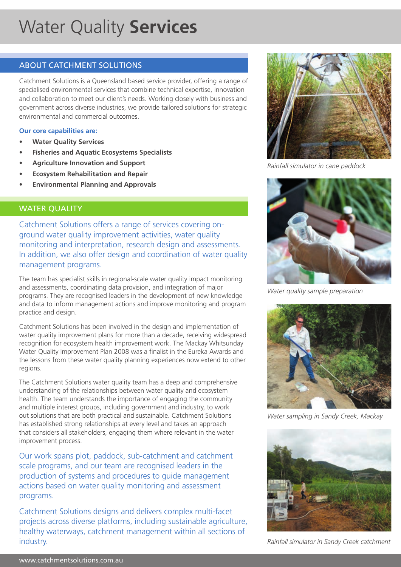## Water Quality **Services**

## ABOUT CATCHMENT SOLUTIONS

Catchment Solutions is a Queensland based service provider, offering a range of specialised environmental services that combine technical expertise, innovation and collaboration to meet our client's needs. Working closely with business and government across diverse industries, we provide tailored solutions for strategic environmental and commercial outcomes.

## **Our core capabilities are:**

- **• Water Quality Services**
- **• Fisheries and Aquatic Ecosystems Specialists**
- **• Agriculture Innovation and Support**
- **• Ecosystem Rehabilitation and Repair**
- **• Environmental Planning and Approvals**

## WATER QUALITY

Catchment Solutions offers a range of services covering onground water quality improvement activities, water quality monitoring and interpretation, research design and assessments. In addition, we also offer design and coordination of water quality management programs.

The team has specialist skills in regional-scale water quality impact monitoring and assessments, coordinating data provision, and integration of major programs. They are recognised leaders in the development of new knowledge and data to inform management actions and improve monitoring and program practice and design.

Catchment Solutions has been involved in the design and implementation of water quality improvement plans for more than a decade, receiving widespread recognition for ecosystem health improvement work. The Mackay Whitsunday Water Quality Improvement Plan 2008 was a finalist in the Eureka Awards and the lessons from these water quality planning experiences now extend to other regions.

The Catchment Solutions water quality team has a deep and comprehensive understanding of the relationships between water quality and ecosystem health. The team understands the importance of engaging the community and multiple interest groups, including government and industry, to work out solutions that are both practical and sustainable. Catchment Solutions has established strong relationships at every level and takes an approach that considers all stakeholders, engaging them where relevant in the water improvement process.

Our work spans plot, paddock, sub-catchment and catchment scale programs, and our team are recognised leaders in the production of systems and procedures to guide management actions based on water quality monitoring and assessment programs.

Catchment Solutions designs and delivers complex multi-facet projects across diverse platforms, including sustainable agriculture, healthy waterways, catchment management within all sections of industry.



*Rainfall simulator in cane paddock*



*Water quality sample preparation*



*Water sampling in Sandy Creek, Mackay*



*Rainfall simulator in Sandy Creek catchment*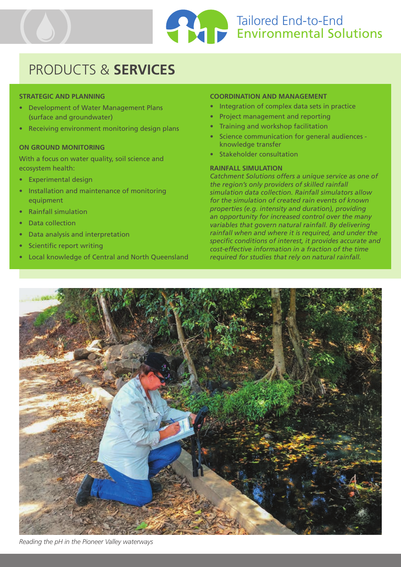

## PRODUCTS & **SERVICES**

## **STRATEGIC AND PLANNING**

- Development of Water Management Plans (surface and groundwater)
- Receiving environment monitoring design plans

### **ON GROUND MONITORING**

With a focus on water quality, soil science and ecosystem health:

- Experimental design
- Installation and maintenance of monitoring equipment
- Rainfall simulation
- Data collection
- Data analysis and interpretation
- Scientific report writing
- Local knowledge of Central and North Queensland

#### **COORDINATION AND MANAGEMENT**

- Integration of complex data sets in practice
- Project management and reporting
- Training and workshop facilitation
- Science communication for general audiences knowledge transfer
- Stakeholder consultation

## **RAINFALL SIMULATION**

*Catchment Solutions offers a unique service as one of the region's only providers of skilled rainfall simulation data collection. Rainfall simulators allow for the simulation of created rain events of known properties (e.g. intensity and duration), providing an opportunity for increased control over the many variables that govern natural rainfall. By delivering rainfall when and where it is required, and under the specific conditions of interest, it provides accurate and cost-effective information in a fraction of the time required for studies that rely on natural rainfall.*



*Reading the pH in the Pioneer Valley waterways*